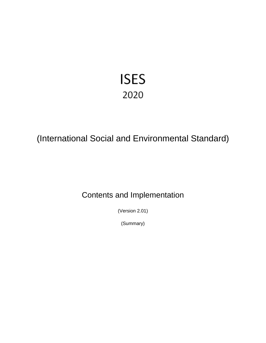# **ISES** 2020

## (International Social and Environmental Standard)

## Contents and Implementation

(Version 2.01)

(Summary)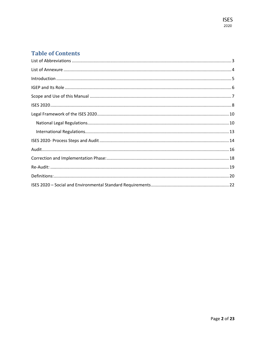## **Table of Contents**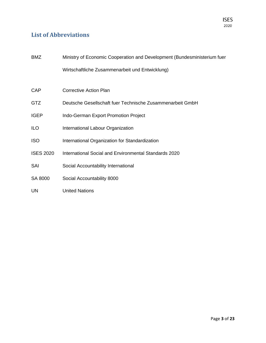## <span id="page-2-0"></span>**List of Abbreviations**

| <b>BMZ</b>       | Ministry of Economic Cooperation and Development (Bundesministerium fuer |
|------------------|--------------------------------------------------------------------------|
|                  | Wirtschaftliche Zusammenarbeit und Entwicklung)                          |
|                  |                                                                          |
| <b>CAP</b>       | <b>Corrective Action Plan</b>                                            |
| <b>GTZ</b>       | Deutsche Gesellschaft fuer Technische Zusammenarbeit GmbH                |
| <b>IGEP</b>      | Indo-German Export Promotion Project                                     |
| <b>ILO</b>       | International Labour Organization                                        |
| <b>ISO</b>       | International Organization for Standardization                           |
| <b>ISES 2020</b> | International Social and Environmental Standards 2020                    |
| SAI              | Social Accountability International                                      |
| SA 8000          | Social Accountability 8000                                               |
| <b>UN</b>        | <b>United Nations</b>                                                    |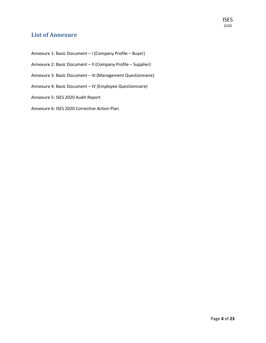## <span id="page-3-0"></span>**List of Annexure**

Annexure 1: Basic Document – I (Company Profile – Buyer) Annexure 2: Basic Document – II (Company Profile – Supplier) Annexure 3: Basic Document – III (Management Questionnaire) Annexure 4: Basic Document – IV (Employee Questionnaire) Annexure 5: ISES 2020 Audit Report Annexure 6: ISES 2020 Corrective Action Plan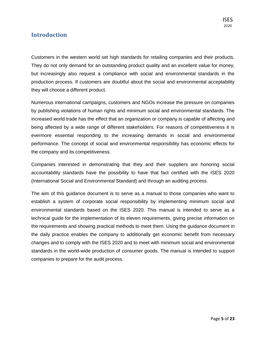## <span id="page-4-0"></span>**Introduction**

Customers in the western world set high standards for retailing companies and their products. They do not only demand for an outstanding product quality and an excellent value for money, but increasingly also request a compliance with social and environmental standards in the production process. If customers are doubtful about the social and environmental acceptability they will choose a different product.

Numerous international campaigns, customers and NGOs increase the pressure on companies by publishing violations of human rights and minimum social and environmental standards. The increased world trade has the effect that an organization or company is capable of affecting and being affected by a wide range of different stakeholders. For reasons of competitiveness it is evermore essential responding to the increasing demands in social and environmental performance. The concept of social and environmental responsibility has economic effects for the company and its competitiveness.

Companies interested in demonstrating that they and their suppliers are honoring social accountability standards have the possibility to have that fact certified with the ISES 2020 (International Social and Environmental Standard) and through an auditing process.

The aim of this guidance document is to serve as a manual to those companies who want to establish a system of corporate social responsibility by implementing minimum social and environmental standards based on the ISES 2020. This manual is intended to serve as a technical guide for the implementation of its eleven requirements, giving precise information on the requirements and showing practical methods to meet them. Using the guidance document in the daily practice enables the company to additionally get economic benefit from necessary changes and to comply with the ISES 2020 and to meet with minimum social and environmental standards in the world-wide production of consumer goods. The manual is intended to support companies to prepare for the audit process.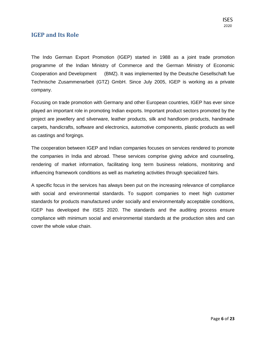## <span id="page-5-0"></span>**IGEP and Its Role**

The Indo German Export Promotion (IGEP) started in 1988 as a joint trade promotion programme of the Indian Ministry of Commerce and the German Ministry of Economic Cooperation and Development (BMZ). It was implemented by the Deutsche Gesellschaft fue Technische Zusammenarbeit (GTZ) GmbH. Since July 2005, IGEP is working as a private company.

Focusing on trade promotion with Germany and other European countries, IGEP has ever since played an important role in promoting Indian exports. Important product sectors promoted by the project are jewellery and silverware, leather products, silk and handloom products, handmade carpets, handicrafts, software and electronics, automotive components, plastic products as well as castings and forgings.

The cooperation between IGEP and Indian companies focuses on services rendered to promote the companies in India and abroad. These services comprise giving advice and counseling, rendering of market information, facilitating long term business relations, monitoring and influencing framework conditions as well as marketing activities through specialized fairs.

A specific focus in the services has always been put on the increasing relevance of compliance with social and environmental standards. To support companies to meet high customer standards for products manufactured under socially and environmentally acceptable conditions, IGEP has developed the ISES 2020. The standards and the auditing process ensure compliance with minimum social and environmental standards at the production sites and can cover the whole value chain.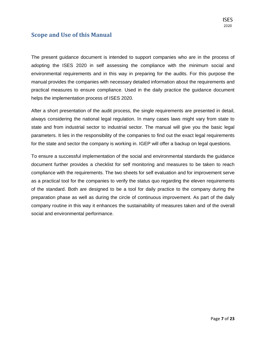## <span id="page-6-0"></span>**Scope and Use of this Manual**

The present guidance document is intended to support companies who are in the process of adopting the ISES 2020 in self assessing the compliance with the minimum social and environmental requirements and in this way in preparing for the audits. For this purpose the manual provides the companies with necessary detailed information about the requirements and practical measures to ensure compliance. Used in the daily practice the guidance document helps the implementation process of ISES 2020.

After a short presentation of the audit process, the single requirements are presented in detail, always considering the national legal regulation. In many cases laws might vary from state to state and from industrial sector to industrial sector. The manual will give you the basic legal parameters. It lies in the responsibility of the companies to find out the exact legal requirements for the state and sector the company is working in. IGEP will offer a backup on legal questions.

To ensure a successful implementation of the social and environmental standards the guidance document further provides a checklist for self monitoring and measures to be taken to reach compliance with the requirements. The two sheets for self evaluation and for improvement serve as a practical tool for the companies to verify the status quo regarding the eleven requirements of the standard. Both are designed to be a tool for daily practice to the company during the preparation phase as well as during the circle of continuous improvement. As part of the daily company routine in this way it enhances the sustainability of measures taken and of the overall social and environmental performance.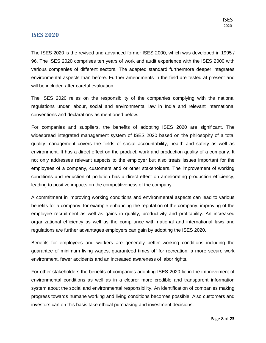#### <span id="page-7-0"></span>**ISES 2020**

The ISES 2020 is the revised and advanced former ISES 2000, which was developed in 1995 / 96. The ISES 2020 comprises ten years of work and audit experience with the ISES 2000 with various companies of different sectors. The adapted standard furthermore deeper integrates environmental aspects than before. Further amendments in the field are tested at present and will be included after careful evaluation.

The ISES 2020 relies on the responsibility of the companies complying with the national regulations under labour, social and environmental law in India and relevant international conventions and declarations as mentioned below.

For companies and suppliers, the benefits of adopting ISES 2020 are significant. The widespread integrated management system of ISES 2020 based on the philosophy of a total quality management covers the fields of social accountability, health and safety as well as environment. It has a direct effect on the product, work and production quality of a company. It not only addresses relevant aspects to the employer but also treats issues important for the employees of a company, customers and or other stakeholders. The improvement of working conditions and reduction of pollution has a direct effect on ameliorating production efficiency, leading to positive impacts on the competitiveness of the company.

A commitment in improving working conditions and environmental aspects can lead to various benefits for a company, for example enhancing the reputation of the company, improving of the employee recruitment as well as gains in quality, productivity and profitability. An increased organizational efficiency as well as the compliance with national and international laws and regulations are further advantages employers can gain by adopting the ISES 2020.

Benefits for employees and workers are generally better working conditions including the guarantee of minimum living wages, guaranteed times off for recreation, a more secure work environment, fewer accidents and an increased awareness of labor rights.

For other stakeholders the benefits of companies adopting ISES 2020 lie in the improvement of environmental conditions as well as in a clearer more credible and transparent information system about the social and environmental responsibility. An identification of companies making progress towards humane working and living conditions becomes possible. Also customers and investors can on this basis take ethical purchasing and investment decisions.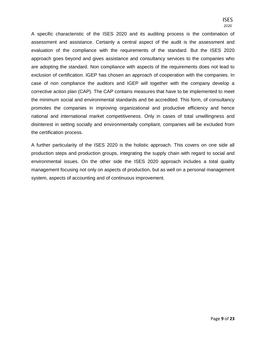A specific characteristic of the ISES 2020 and its auditing process is the combination of assessment and assistance. Certainly a central aspect of the audit is the assessment and evaluation of the compliance with the requirements of the standard. But the ISES 2020 approach goes beyond and gives assistance and consultancy services to the companies who are adopting the standard. Non compliance with aspects of the requirements does not lead to exclusion of certification. IGEP has chosen an approach of cooperation with the companies. In case of non compliance the auditors and IGEP will together with the company develop a corrective action plan (CAP). The CAP contains measures that have to be implemented to meet the minimum social and environmental standards and be accredited. This form, of consultancy promotes the companies in improving organizational and productive efficiency and hence national and international market competitiveness. Only in cases of total unwillingness and disinterest in setting socially and environmentally compliant, companies will be excluded from the certification process.

A further particularity of the ISES 2020 is the holistic approach. This covers on one side all production steps and production groups, integrating the supply chain with regard to social and environmental issues. On the other side the ISES 2020 approach includes a total quality management focusing not only on aspects of production, but as well on a personal management system, aspects of accounting and of continuous improvement.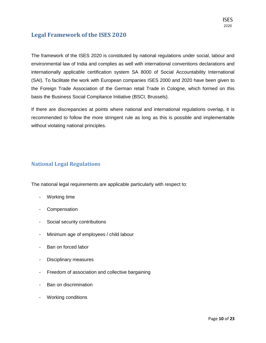## <span id="page-9-0"></span>**Legal Framework of the ISES 2020**

The framework of the ISES 2020 is constituted by national regulations under social, labour and environmental law of India and complies as well with international conventions declarations and internationally applicable certification system SA 8000 of Social Accountability International (SAI). To facilitate the work with European companies ISES 2000 and 2020 have been given to the Foreign Trade Association of the German retail Trade in Cologne, which formed on this basis the Business Social Compliance Initiative (BSCI, Brussels).

If there are discrepancies at points where national and international regulations overlap, it is recommended to follow the more stringent rule as long as this is possible and implementable without violating national principles.

### <span id="page-9-1"></span>**National Legal Regulations**

The national legal requirements are applicable particularly with respect to:

- Working time
- Compensation
- Social security contributions
- Minimum age of employees / child labour
- Ban on forced labor
- Disciplinary measures
- Freedom of association and collective bargaining
- Ban on discrimination
- Working conditions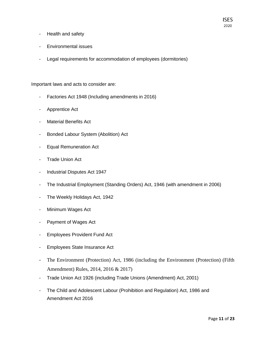- Health and safety
- Environmental issues
- Legal requirements for accommodation of employees (dormitories)

Important laws and acts to consider are:

- Factories Act 1948 (Including amendments in 2016)
- Apprentice Act
- Material Benefits Act
- Bonded Labour System (Abolition) Act
- Equal Remuneration Act
- Trade Union Act
- Industrial Disputes Act 1947
- The Industrial Employment (Standing Orders) Act, 1946 (with amendment in 2006)
- The Weekly Holidays Act, 1942
- Minimum Wages Act
- Payment of Wages Act
- Employees Provident Fund Act
- Employees State Insurance Act
- The Environment (Protection) Act, 1986 (including the Environment (Protection) (Fifth Amendment) Rules, 2014, 2016 & 2017)
- Trade Union Act 1926 (including Trade Unions (Amendment) Act, 2001)
- The Child and Adolescent Labour (Prohibition and Regulation) Act, 1986 and Amendment Act 2016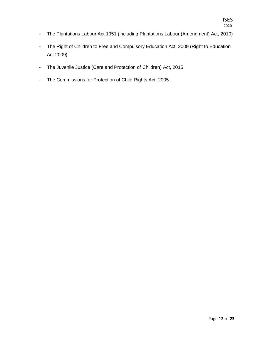- The Plantations Labour Act 1951 (including Plantations Labour (Amendment) Act, 2010)
- The Right of Children to Free and Compulsory Education Act, 2009 (Right to Education Act 2009)
- The Juvenile Justice (Care and Protection of Children) Act, 2015
- The Commissions for Protection of Child Rights Act, 2005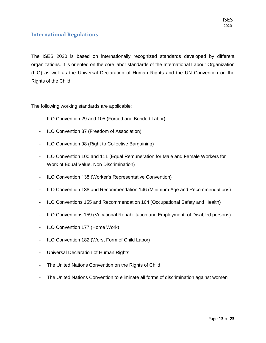### <span id="page-12-0"></span>**International Regulations**

The ISES 2020 is based on internationally recognized standards developed by different organizations. It is oriented on the core labor standards of the International Labour Organization (ILO) as well as the Universal Declaration of Human Rights and the UN Convention on the Rights of the Child.

The following working standards are applicable:

- ILO Convention 29 and 105 (Forced and Bonded Labor)
- ILO Convention 87 (Freedom of Association)
- ILO Convention 98 (Right to Collective Bargaining)
- ILO Convention 100 and 111 (Equal Remuneration for Male and Female Workers for Work of Equal Value, Non Discrimination)
- ILO Convention 135 (Worker's Representative Convention)
- ILO Convention 138 and Recommendation 146 (Minimum Age and Recommendations)
- ILO Conventions 155 and Recommendation 164 (Occupational Safety and Health)
- ILO Conventions 159 (Vocational Rehabilitation and Employment of Disabled persons)
- ILO Convention 177 (Home Work)
- ILO Convention 182 (Worst Form of Child Labor)
- Universal Declaration of Human Rights
- The United Nations Convention on the Rights of Child
- The United Nations Convention to eliminate all forms of discrimination against women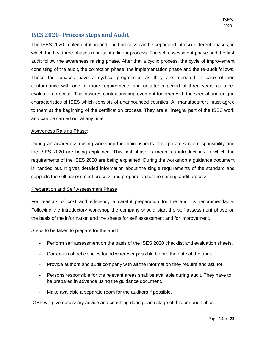## **ISES 2020- Process Steps and Audit**

<span id="page-13-0"></span>The ISES 2020 implementation and audit process can be separated into six different phases, in which the first three phases represent a linear process. The self assessment phase and the first audit follow the awareness raising phase. After that a cyclic process, the cycle of improvement consisting of the audit, the correction phase, the implementation phase and the re-audit follows. These four phases have a cyclical progression as they are repeated in case of non conformance with one or more requirements and or after a period of three years as a reevaluation process. This assures continuous improvement together with the special and unique characteristics of ISES which consists of unannounced counties. All manufacturers must agree to them at the beginning of the certification process. They are all integral part of the ISES work and can be carried out at any time.

#### Awareness Raising Phase:

During an awareness raising workshop the main aspects of corporate social responsibility and the ISES 2020 are being explained. This first phase is meant as introductions in which the requirements of the ISES 2020 are being explained. During the workshop a guidance document is handed out. It gives detailed information about the single requirements of the standard and supports the self assessment process and preparation for the coming audit process.

#### Preparation and Self Assessment Phase

For reasons of cost and efficiency a careful preparation for the audit is recommendable. Following the introductory workshop the company should start the self assessment phase on the basis of the information and the sheets for self assessment and for improvement.

#### Steps to be taken to prepare for the audit:

- Perform self assessment on the basis of the ISES 2020 checklist and evaluation sheets.
- Correction of deficiencies found wherever possible before the date of the audit.
- Provide authors and audit company with all the information they require and ask for.
- Persons responsible for the relevant areas shall be available during audit. They have to be prepared in advance using the guidance document.
- Make available a separate room for the auditors if possible.

IGEP will give necessary advice and coaching during each stage of this pre audit phase.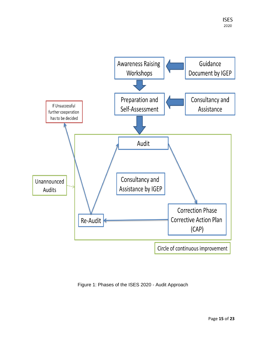

Figure 1: Phases of the ISES 2020 - Audit Approach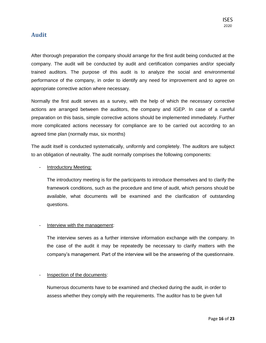## <span id="page-15-0"></span>**Audit**

After thorough preparation the company should arrange for the first audit being conducted at the company. The audit will be conducted by audit and certification companies and/or specially trained auditors. The purpose of this audit is to analyze the social and environmental performance of the company, in order to identify any need for improvement and to agree on appropriate corrective action where necessary.

Normally the first audit serves as a survey, with the help of which the necessary corrective actions are arranged between the auditors, the company and IGEP. In case of a careful preparation on this basis, simple corrective actions should be implemented immediately. Further more complicated actions necessary for compliance are to be carried out according to an agreed time plan (normally max, six months)

The audit itself is conducted systematically, uniformly and completely. The auditors are subject to an obligation of neutrality. The audit normally comprises the following components:

#### Introductory Meeting:

The introductory meeting is for the participants to introduce themselves and to clarify the framework conditions, such as the procedure and time of audit, which persons should be available, what documents will be examined and the clarification of outstanding questions.

#### Interview with the management:

The interview serves as a further intensive information exchange with the company. In the case of the audit it may be repeatedly be necessary to clarify matters with the company's management. Part of the interview will be the answering of the questionnaire.

#### Inspection of the documents:

Numerous documents have to be examined and checked during the audit, in order to assess whether they comply with the requirements. The auditor has to be given full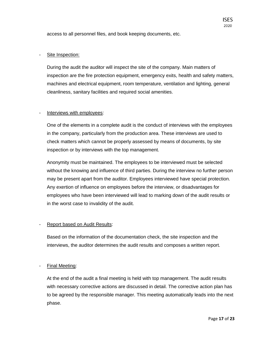access to all personnel files, and book keeping documents, etc.

#### Site Inspection:

During the audit the auditor will inspect the site of the company. Main matters of inspection are the fire protection equipment, emergency exits, health and safety matters, machines and electrical equipment, room temperature, ventilation and lighting, general cleanliness, sanitary facilities and required social amenities.

#### Interviews with employees:

One of the elements in a complete audit is the conduct of interviews with the employees in the company, particularly from the production area. These interviews are used to check matters which cannot be properly assessed by means of documents, by site inspection or by interviews with the top management.

Anonymity must be maintained. The employees to be interviewed must be selected without the knowing and influence of third parties. During the interview no further person may be present apart from the auditor. Employees interviewed have special protection. Any exertion of influence on employees before the interview, or disadvantages for employees who have been interviewed will lead to marking down of the audit results or in the worst case to invalidity of the audit.

#### Report based on Audit Results:

Based on the information of the documentation check, the site inspection and the interviews, the auditor determines the audit results and composes a written report.

#### Final Meeting:

At the end of the audit a final meeting is held with top management. The audit results with necessary corrective actions are discussed in detail. The corrective action plan has to be agreed by the responsible manager. This meeting automatically leads into the next phase.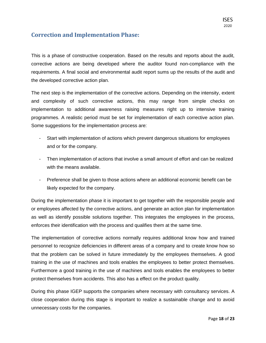## <span id="page-17-0"></span>**Correction and Implementation Phase:**

This is a phase of constructive cooperation. Based on the results and reports about the audit, corrective actions are being developed where the auditor found non-compliance with the requirements. A final social and environmental audit report sums up the results of the audit and the developed corrective action plan.

The next step is the implementation of the corrective actions. Depending on the intensity, extent and complexity of such corrective actions, this may range from simple checks on implementation to additional awareness raising measures right up to intensive training programmes. A realistic period must be set for implementation of each corrective action plan. Some suggestions for the implementation process are:

- Start with implementation of actions which prevent dangerous situations for employees and or for the company.
- Then implementation of actions that involve a small amount of effort and can be realized with the means available.
- Preference shall be given to those actions where an additional economic benefit can be likely expected for the company.

During the implementation phase it is important to get together with the responsible people and or employees affected by the corrective actions, and generate an action plan for implementation as well as identify possible solutions together. This integrates the employees in the process, enforces their identification with the process and qualifies them at the same time.

The implementation of corrective actions normally requires additional know how and trained personnel to recognize deficiencies in different areas of a company and to create know how so that the problem can be solved in future immediately by the employees themselves. A good training in the use of machines and tools enables the employees to better protect themselves. Furthermore a good training in the use of machines and tools enables the employees to better protect themselves from accidents. This also has a effect on the product quality.

During this phase IGEP supports the companies where necessary with consultancy services. A close cooperation during this stage is important to realize a sustainable change and to avoid unnecessary costs for the companies.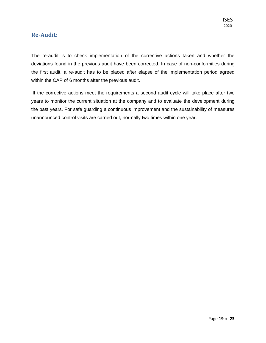## <span id="page-18-0"></span>**Re-Audit:**

The re-audit is to check implementation of the corrective actions taken and whether the deviations found in the previous audit have been corrected. In case of non-conformities during the first audit, a re-audit has to be placed after elapse of the implementation period agreed within the CAP of 6 months after the previous audit.

If the corrective actions meet the requirements a second audit cycle will take place after two years to monitor the current situation at the company and to evaluate the development during the past years. For safe guarding a continuous improvement and the sustainability of measures unannounced control visits are carried out, normally two times within one year.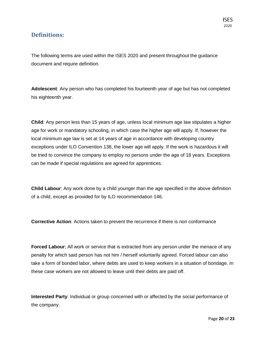## <span id="page-19-0"></span>**Definitions:**

The following terms are used within the ISES 2020 and present throughout the guidance document and require definition.

**Adolescent**: Any person who has completed his fourteenth year of age but has not completed his eighteenth year.

**Child**: Any person less than 15 years of age, unless local minimum age law stipulates a higher age for work or mandatory schooling, in which case the higher age will apply. If, however the local minimum age law is set at 14 years of age in accordance with developing country exceptions under ILO Convention 138, the lower age will apply. If the work is hazardous it will be tried to convince the company to employ no persons under the age of 18 years. Exceptions can be made if special regulations are agreed for apprentices.

**Child Labour**: Any work done by a child younger than the age specified in the above definition of a child, except as provided for by ILO recommendation 146.

**Corrective Action**: Actions taken to prevent the recurrence if there is non conformance

**Forced Labour**; All work or service that is extracted from any person under the menace of any penalty for which said person has not him / herself voluntarily agreed. Forced labour can also take a form of bonded labor, where debts are used to keep workers in a situation of bondage. In these case workers are not allowed to leave until their debts are paid off.

**Interested Party**: Individual or group concerned with or affected by the social performance of the company.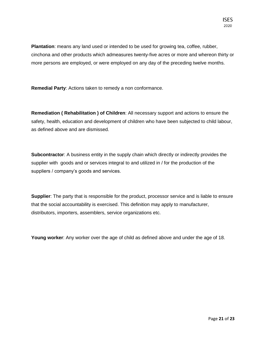**ISES** 

**Plantation**: means any land used or intended to be used for growing tea, coffee, rubber, cinchona and other products which admeasures twenty-five acres or more and whereon thirty or more persons are employed, or were employed on any day of the preceding twelve months.

**Remedial Party**: Actions taken to remedy a non conformance.

**Remediation ( Rehabilitation ) of Children**: All necessary support and actions to ensure the safety, health, education and development of children who have been subjected to child labour, as defined above and are dismissed.

**Subcontractor:** A business entity in the supply chain which directly or indirectly provides the supplier with goods and or services integral to and utilized in / for the production of the suppliers / company's goods and services.

**Supplier**: The party that is responsible for the product, processor service and is liable to ensure that the social accountability is exercised. This definition may apply to manufacturer, distributors, importers, assemblers, service organizations etc.

**Young worker**: Any worker over the age of child as defined above and under the age of 18.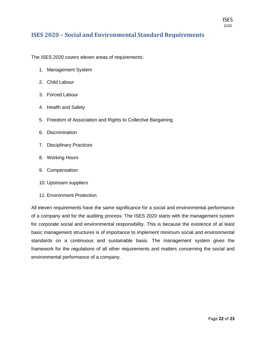## <span id="page-21-0"></span>**ISES 2020 – Social and Environmental Standard Requirements**

The ISES 2020 covers eleven areas of requirements:

- 1. Management System
- 2. Child Labour
- 3. Forced Labour
- 4. Health and Safety
- 5. Freedom of Association and Rights to Collective Bargaining
- 6. Discrimination
- 7. Disciplinary Practices
- 8. Working Hours
- 9. Compensation
- 10. Upstream suppliers
- 11. Environment Protection

All eleven requirements have the same significance for a social and environmental performance of a company and for the auditing process. The ISES 2020 starts with the management system for corporate social and environmental responsibility. This is because the existence of at least basic management structures is of importance to implement minimum social and environmental standards on a continuous and sustainable basis. The management system gives the framework for the regulations of all other requirements and matters concerning the social and environmental performance of a company.